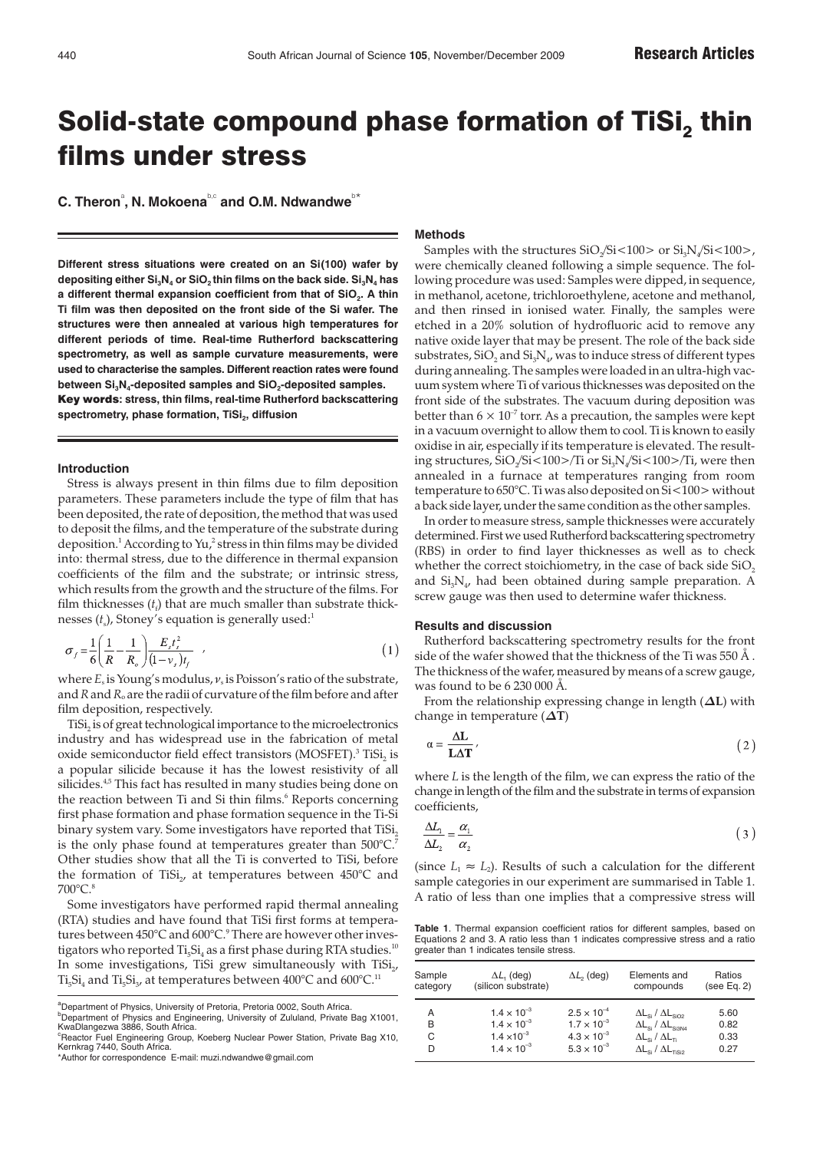# Solid-state compound phase formation of TiSi $_2$  thin films under stress

 $C$ . Theron<sup>a</sup>, N. Mokoena<sup>b,c</sup> and O.M. Ndwandwe<sup>b\*</sup>

**Different stress situations were created on an Si(100) wafer by depositing either Si<sub>3</sub>N<sub>4</sub> or SiO<sub>2</sub> thin films on the back side. Si<sub>3</sub>N<sub>4</sub> has** a different thermal expansion coefficient from that of SiO<sub>2</sub>. A thin **Ti film was then deposited on the front side of the Si wafer. The structures were then annealed at various high temperatures for different periods of time. Real-time Rutherford backscattering spectrometry, as well as sample curvature measurements, were used to characterise the samples. Different reaction rates were found** between Si<sub>3</sub>N<sub>4</sub>-deposited samples and SiO<sub>2</sub>-deposited samples. Key words**: stress, thin films, real-time Rutherford backscattering** spectrometry, phase formation, TiSi<sub>2</sub>, diffusion

#### **Introduction**

Stress is always present in thin films due to film deposition parameters. These parameters include the type of film that has been deposited, the rate of deposition, the method that was used to deposit the films, and the temperature of the substrate during deposition.<sup>1</sup> According to Yu,<sup>2</sup> stress in thin films may be divided into: thermal stress, due to the difference in thermal expansion coefficients of the film and the substrate; or intrinsic stress, which results from the growth and the structure of the films. For film thicknesses  $(t_i)$  that are much smaller than substrate thicknesses (*t*<sub>s</sub>), Stoney's equation is generally used:<sup>1</sup>

$$
\sigma_f = \frac{1}{6} \left( \frac{1}{R} - \frac{1}{R_o} \right) \frac{E_s t_s^2}{(1 - v_s) t_f} \tag{1}
$$

where *E*<sup>s</sup> is Young's modulus, ν<sup>s</sup> is Poisson's ratio of the substrate, and*R*and*R*<sup>o</sup> are the radii of curvature of the film before and after film deposition, respectively.

TiSi<sub>2</sub> is of great technological importance to the microelectronics industry and has widespread use in the fabrication of metal oxide semiconductor field effect transistors (MOSFET).<sup>3</sup> TiSi<sub>2</sub> is a popular silicide because it has the lowest resistivity of all silicides.<sup>4,5</sup> This fact has resulted in many studies being done on the reaction between Ti and Si thin films.<sup>6</sup> Reports concerning first phase formation and phase formation sequence in the Ti-Si binary system vary. Some investigators have reported that TiSi, is the only phase found at temperatures greater than 500°C.<sup>7</sup> Other studies show that all the Ti is converted to TiSi, before the formation of TiSi<sub>2</sub>, at temperatures between  $450^{\circ}$ C and 700°C.

Some investigators have performed rapid thermal annealing (RTA) studies and have found that TiSi first forms at temperatures between 450°C and 600°C.<sup>9</sup> There are however other investigators who reported  $Ti<sub>5</sub>Si<sub>4</sub>$  as a first phase during RTA studies.<sup>10</sup> In some investigations, TiSi grew simultaneously with  $T_i$ ISi<sub>2</sub>, Ti<sub>5</sub>Si<sub>4</sub> and Ti<sub>5</sub>Si<sub>3</sub>, at temperatures between 400°C and 600°C.<sup>11</sup>

# **Methods**

Samples with the structures  $SiO/Si<100>$  or  $Si<sub>3</sub>N/Si<100>$ , were chemically cleaned following a simple sequence. The following procedure was used: Samples were dipped, in sequence, in methanol, acetone, trichloroethylene, acetone and methanol, and then rinsed in ionised water. Finally, the samples were etched in a 20% solution of hydrofluoric acid to remove any native oxide layer that may be present. The role of the back side substrates,  $SiO$ , and  $Si<sub>3</sub>N<sub>4</sub>$ , was to induce stress of different types during annealing. The samples were loaded in an ultra-high vacuum system where Ti of various thicknesses was deposited on the front side of the substrates. The vacuum during deposition was better than  $6 \times 10^{-7}$  torr. As a precaution, the samples were kept in a vacuum overnight to allow them to cool. Ti is known to easily oxidise in air, especially if its temperature is elevated. The resulting structures, SiO<sub>2</sub>/Si<100>/Ti or Si<sub>3</sub>N<sub>4</sub>/Si<100>/Ti, were then annealed in a furnace at temperatures ranging from room temperature to 650°C. Ti was also deposited on Si<100> without a back side layer, under the same condition as the other samples.

In order to measure stress, sample thicknesses were accurately determined. First we used Rutherford backscattering spectrometry (RBS) in order to find layer thicknesses as well as to check whether the correct stoichiometry, in the case of back side  $SiO<sub>2</sub>$ and  $Si<sub>3</sub>N<sub>4</sub>$ , had been obtained during sample preparation. A screw gauge was then used to determine wafer thickness.

# **Results and discussion**

Rutherford backscattering spectrometry results for the front side of the wafer showed that the thickness of the Ti was 550  $\AA$ . The thickness of the wafer, measured by means of a screw gauge, was found to be 6 230 000 Å.

From the relationship expressing change in length  $(\Delta L)$  with change in temperature  $(\Delta T)$ 

$$
\alpha = \frac{\Delta L}{L\Delta T},\tag{2}
$$

where *L* is the length of the film, we can express the ratio of the change in length of the film and the substrate in terms of expansion coefficients,

$$
\frac{\Delta L_1}{\Delta L_2} = \frac{\alpha_1}{\alpha_2} \tag{3}
$$

(since  $L_1 \approx L_2$ ). Results of such a calculation for the different sample categories in our experiment are summarised in Table 1. A ratio of less than one implies that a compressive stress will

**Table 1**. Thermal expansion coefficient ratios for different samples, based on Equations 2 and 3. A ratio less than 1 indicates compressive stress and a ratio greater than 1 indicates tensile stress.

| Sample   | $\Delta L$ , (deg)   | $\Delta L$ , (deg)   | Elements and                                     | Ratios      |
|----------|----------------------|----------------------|--------------------------------------------------|-------------|
| category | (silicon substrate)  |                      | compounds                                        | (see Eq. 2) |
| А        | $1.4 \times 10^{-3}$ | $2.5 \times 10^{-4}$ | $\Delta L_{\rm Si}$ / $\Delta L_{\rm SiO2}$      | 5.60        |
| В        | $1.4 \times 10^{-3}$ | $1.7 \times 10^{-3}$ | $\Delta L_{\text{Si}} / \Delta L_{\text{Si3N4}}$ | 0.82        |
| С        | $1.4 \times 10^{-3}$ | $4.3 \times 10^{-3}$ | $\Delta L_{\rm Si}$ / $\Delta L_{\rm Ti}$        | 0.33        |
| D        | $1.4 \times 10^{-3}$ | $5.3 \times 10^{-3}$ | $\Delta L_{\rm si}$ / $\Delta L_{\rm TiSi2}$     | 0.27        |

<sup>&</sup>lt;sup>a</sup>Department of Physics, University of Pretoria, Pretoria 0002, South Africa. <sup>b</sup>Department of Physics and Engineering, University of Zululand, Private Bag X1001, KwaDlangezwa 3886, South Africa.

<sup>&</sup>lt;sup>c</sup>Reactor Fuel Engineering Group, Koeberg Nuclear Power Station, Private Bag X10,<br>Kernkrag 7440, South Africa.

<sup>\*</sup>Author for correspondence E-mail: muzi.ndwandwe@gmail.com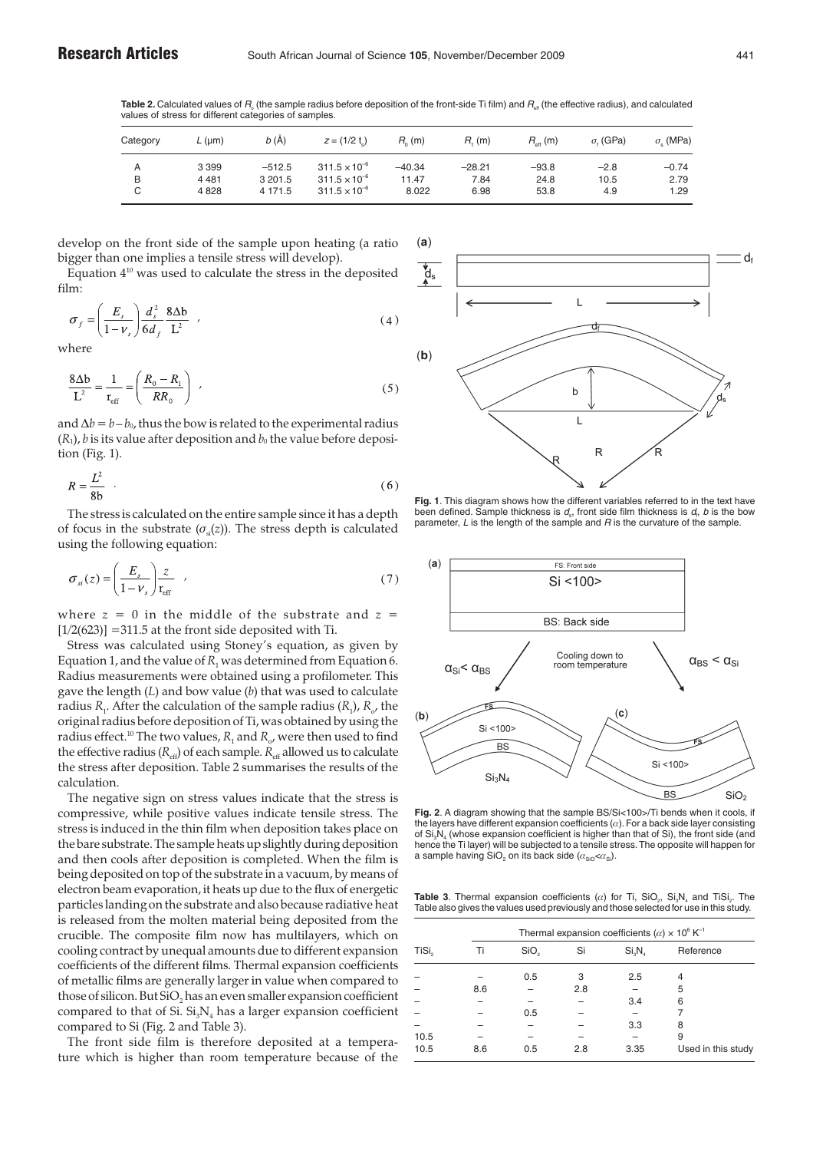**Table 2.** Calculated values of R. (the sample radius before deposition of the front-side Ti film) and R<sub>a</sub> (the effective radius), and calculated values of stress for different categories of samples.

| Category | $L$ (µm) | b(A)     | $z = (1/2 t)$          | $R_0(m)$ | $R_{i}$ (m) | $R_{\rm eff}$ (m) | $\sigma$ . (GPa) | $\sigma$ (MPa) |
|----------|----------|----------|------------------------|----------|-------------|-------------------|------------------|----------------|
| Α        | 3 3 9 9  | $-512.5$ | $311.5 \times 10^{-6}$ | $-40.34$ | $-28.21$    | $-93.8$           | $-2.8$           | $-0.74$        |
| B        | 4 4 8 1  | 3 201.5  | $311.5 \times 10^{-6}$ | 11.47    | 7.84        | 24.8              | 10.5             | 2.79           |
| C        | 4828     | 4 171.5  | $311.5 \times 10^{-6}$ | 8.022    | 6.98        | 53.8              | 4.9              | 1.29           |

develop on the front side of the sample upon heating (a ratio bigger than one implies a tensile stress will develop).

Equation  $4^{10}$  was used to calculate the stress in the deposited film:

$$
\sigma_f = \left(\frac{E_s}{1 - \nu_s}\right) \frac{d_s^2}{6d_f} \frac{8\Delta b}{L^2} \tag{4}
$$

where

$$
\frac{8\Delta b}{L^2} = \frac{1}{r_{\text{eff}}} = \left(\frac{R_0 - R_1}{RR_0}\right) \tag{5}
$$

and  $\Delta b = b - b_0$ , thus the bow is related to the experimental radius  $(R_1)$ , *b* is its value after deposition and  $b_0$  the value before deposition (Fig. 1).

$$
R = \frac{L^2}{8b} \tag{6}
$$

The stress is calculated on the entire sample since it has a depth of focus in the substrate  $(\sigma_{sl}(z))$ . The stress depth is calculated using the following equation:

$$
\sigma_{si}(z) = \left(\frac{E_s}{1 - \nu_s}\right) \frac{z}{r_{\text{eff}}} \quad , \tag{7}
$$

where  $z = 0$  in the middle of the substrate and  $z =$  $[1/2(623)] = 311.5$  at the front side deposited with Ti.

Stress was calculated using Stoney's equation, as given by Equation 1, and the value of  $R_1$  was determined from Equation 6. Radius measurements were obtained using a profilometer. This gave the length (*L*) and bow value (*b*) that was used to calculate radius  $R_1$ . After the calculation of the sample radius  $(R_1)$ ,  $R_2$ , the original radius before deposition of Ti, was obtained by using the radius effect.<sup>10</sup> The two values,  $R_1$  and  $R_0$ , were then used to find the effective radius ( $R_{\text{eff}}$ ) of each sample.  $R_{\text{eff}}$  allowed us to calculate the stress after deposition. Table 2 summarises the results of the calculation.

The negative sign on stress values indicate that the stress is compressive, while positive values indicate tensile stress. The stress is induced in the thin film when deposition takes place on the bare substrate. The sample heats up slightly during deposition and then cools after deposition is completed. When the film is being deposited on top of the substrate in a vacuum, by means of electron beam evaporation, it heats up due to the flux of energetic particles landing on the substrate and also because radiative heat is released from the molten material being deposited from the crucible. The composite film now has multilayers, which on cooling contract by unequal amounts due to different expansion coefficients of the different films. Thermal expansion coefficients of metallic films are generally larger in value when compared to those of silicon. But SiO<sub>2</sub> has an even smaller expansion coefficient compared to that of Si.  $Si<sub>3</sub>N<sub>4</sub>$  has a larger expansion coefficient compared to Si (Fig. 2 and Table 3).

The front side film is therefore deposited at a temperature which is higher than room temperature because of the



**Fig. 1**. This diagram shows how the different variables referred to in the text have been defined. Sample thickness is  $d_{\text{s}}$ , front side film thickness is  $d_{\text{f}}$ ,  $b$  is the bow parameter, L is the length of the sample and R is the curvature of the sample.



**Fig. 2**. A diagram showing that the sample BS/Si<100>/Ti bends when it cools, if the layers have different expansion coefficients  $(\alpha)$ . For a back side layer consisting of Si.N. (whose expansion coefficient is higher than that of Si), the front side (and hence the Ti layer) will be subjected to a tensile stress.The opposite will happen for a sample having SiO<sub>2</sub> on its back side ( $\alpha_{\rm{SiO}} < \alpha_{\rm{Si}}$ ).

**Table 3**. Thermal expansion coefficients  $(\alpha)$  for Ti, SiO<sub>2</sub>, Si<sub>3</sub>N<sub>4</sub> and TiSi<sub>2</sub>. The Table also gives the values used previously and those selected for use in this study.

|                   |     | Thermal expansion coefficients ( $\alpha$ ) × 10 <sup>6</sup> K <sup>-1</sup> |     |                                |                    |  |  |
|-------------------|-----|-------------------------------------------------------------------------------|-----|--------------------------------|--------------------|--|--|
| TiSi <sub>2</sub> | Ti  | SiO <sub>2</sub>                                                              | Si  | Si <sub>s</sub> N <sub>s</sub> | Reference          |  |  |
|                   |     | 0.5                                                                           | 3   | 2.5                            | 4                  |  |  |
|                   | 8.6 |                                                                               | 2.8 |                                | 5                  |  |  |
|                   |     |                                                                               |     | 3.4                            | 6                  |  |  |
|                   |     | 0.5                                                                           |     |                                |                    |  |  |
|                   |     |                                                                               |     | 3.3                            | 8                  |  |  |
| 10.5              |     |                                                                               |     |                                | 9                  |  |  |
| 10.5              | 8.6 | 0.5                                                                           | 2.8 | 3.35                           | Used in this study |  |  |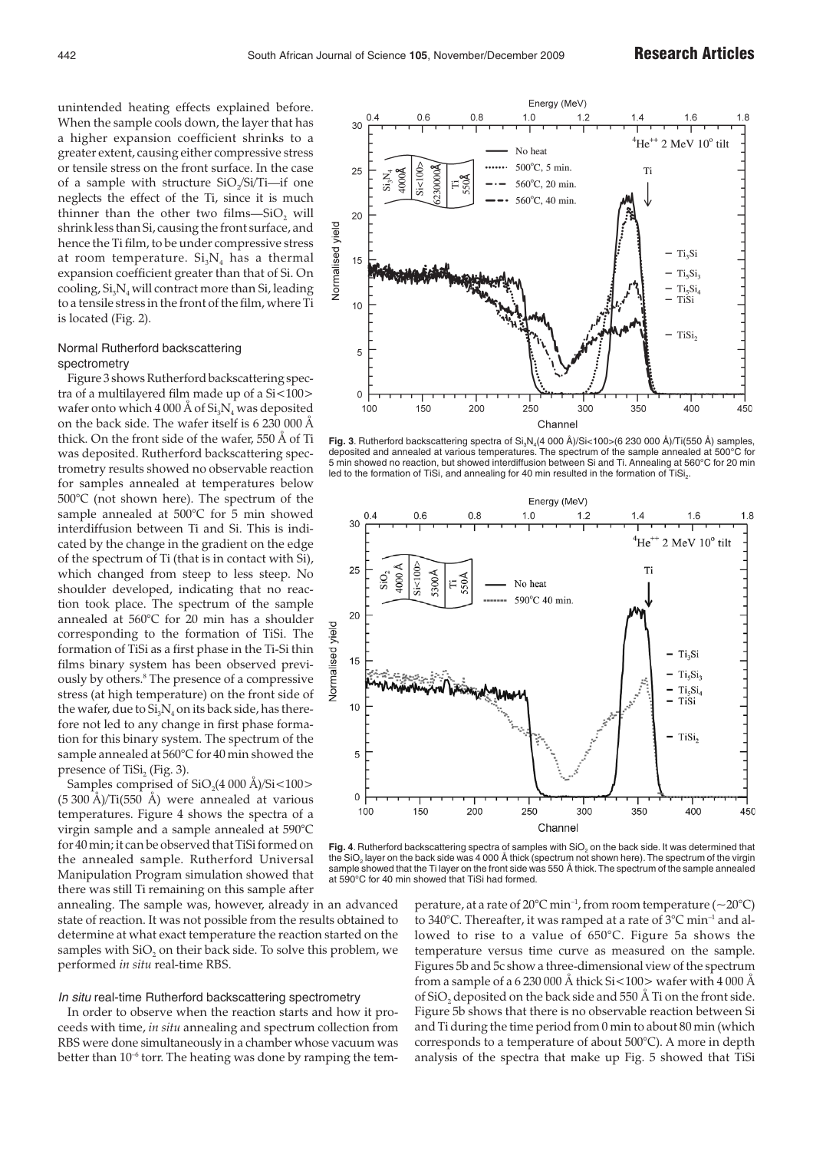unintended heating effects explained before. When the sample cools down, the layer that has a higher expansion coefficient shrinks to a greater extent, causing either compressive stress or tensile stress on the front surface. In the case of a sample with structure  $SiO\sqrt{Si/Ti}$ —if one neglects the effect of the Ti, since it is much thinner than the other two films—SiO, will shrink less than Si, causing the front surface, and hence the Ti film, to be under compressive stress at room temperature.  $Si<sub>3</sub>N<sub>4</sub>$  has a thermal expansion coefficient greater than that of Si. On cooling,  $Si<sub>3</sub>N<sub>4</sub>$  will contract more than Si, leading to a tensile stress in the front of the film, where Ti is located (Fig. 2).

# Normal Rutherford backscattering spectrometry

Figure 3 shows Rutherford backscattering spectra of a multilayered film made up of a Si<100> wafer onto which 4 000 Å of  $Si_3N_4$  was deposited on the back side. The wafer itself is 6 230 000 Å thick. On the front side of the wafer, 550 Å of Ti was deposited. Rutherford backscattering spectrometry results showed no observable reaction for samples annealed at temperatures below 500°C (not shown here). The spectrum of the sample annealed at 500°C for 5 min showed interdiffusion between Ti and Si. This is indicated by the change in the gradient on the edge of the spectrum of Ti (that is in contact with Si), which changed from steep to less steep. No shoulder developed, indicating that no reaction took place. The spectrum of the sample annealed at 560°C for 20 min has a shoulder corresponding to the formation of TiSi. The formation of TiSi as a first phase in the Ti-Si thin films binary system has been observed previously by others.<sup>8</sup> The presence of a compressive stress (at high temperature) on the front side of the wafer, due to  $Si<sub>3</sub>N<sub>4</sub>$  on its back side, has therefore not led to any change in first phase formation for this binary system. The spectrum of the sample annealed at 560°C for 40 min showed the presence of TiSi, (Fig. 3).

Samples comprised of  $SiO_2(4\,000\,\text{\AA})/Si<100>$ (5 300 Å)/Ti(550 Å) were annealed at various temperatures. Figure 4 shows the spectra of a virgin sample and a sample annealed at 590°C for 40 min; it can be observed that TiSi formed on the annealed sample. Rutherford Universal Manipulation Program simulation showed that there was still Ti remaining on this sample after

annealing. The sample was, however, already in an advanced state of reaction. It was not possible from the results obtained to determine at what exact temperature the reaction started on the samples with SiO<sub>2</sub> on their back side. To solve this problem, we performed *in situ* real-time RBS.

# In situ real-time Rutherford backscattering spectrometry

In order to observe when the reaction starts and how it proceeds with time, *in situ* annealing and spectrum collection from RBS were done simultaneously in a chamber whose vacuum was better than  $10^{-6}$  torr. The heating was done by ramping the tem-



Fig. 3. Rutherford backscattering spectra of Si<sub>3</sub>N<sub>4</sub>(4 000 Å)/Si<100>(6 230 000 Å)/Ti(550 Å) samples, deposited and annealed at various temperatures. The spectrum of the sample annealed at 500°C for 5 min showed no reaction, but showed interdiffusion between Si and Ti. Annealing at 560°C for 20 min led to the formation of TiSi, and annealing for 40 min resulted in the formation of TiSi.



Fig. 4. Rutherford backscattering spectra of samples with SiO<sub>2</sub> on the back side. It was determined that the SiO<sub>2</sub> layer on the back side was 4 000 Å thick (spectrum not shown here). The spectrum of the virgin sample showed that the Ti layer on the front side was 550 Å thick. The spectrum of the sample annealed at 590°C for 40 min showed that TiSi had formed.

perature, at a rate of  $20^{\circ}$ C min<sup>-1</sup>, from room temperature (~20 $^{\circ}$ C) to 340°C. Thereafter, it was ramped at a rate of 3°C min<sup>-1</sup> and allowed to rise to a value of 650°C. Figure 5a shows the temperature versus time curve as measured on the sample. Figures 5b and 5c show a three-dimensional view of the spectrum from a sample of a 6 230 000 Å thick Si $\lt 100$  wafer with 4 000 Å of SiO<sub>2</sub> deposited on the back side and 550 Å Ti on the front side. Figure 5b shows that there is no observable reaction between Si and Ti during the time period from 0 min to about 80 min (which corresponds to a temperature of about 500°C). A more in depth analysis of the spectra that make up Fig. 5 showed that TiSi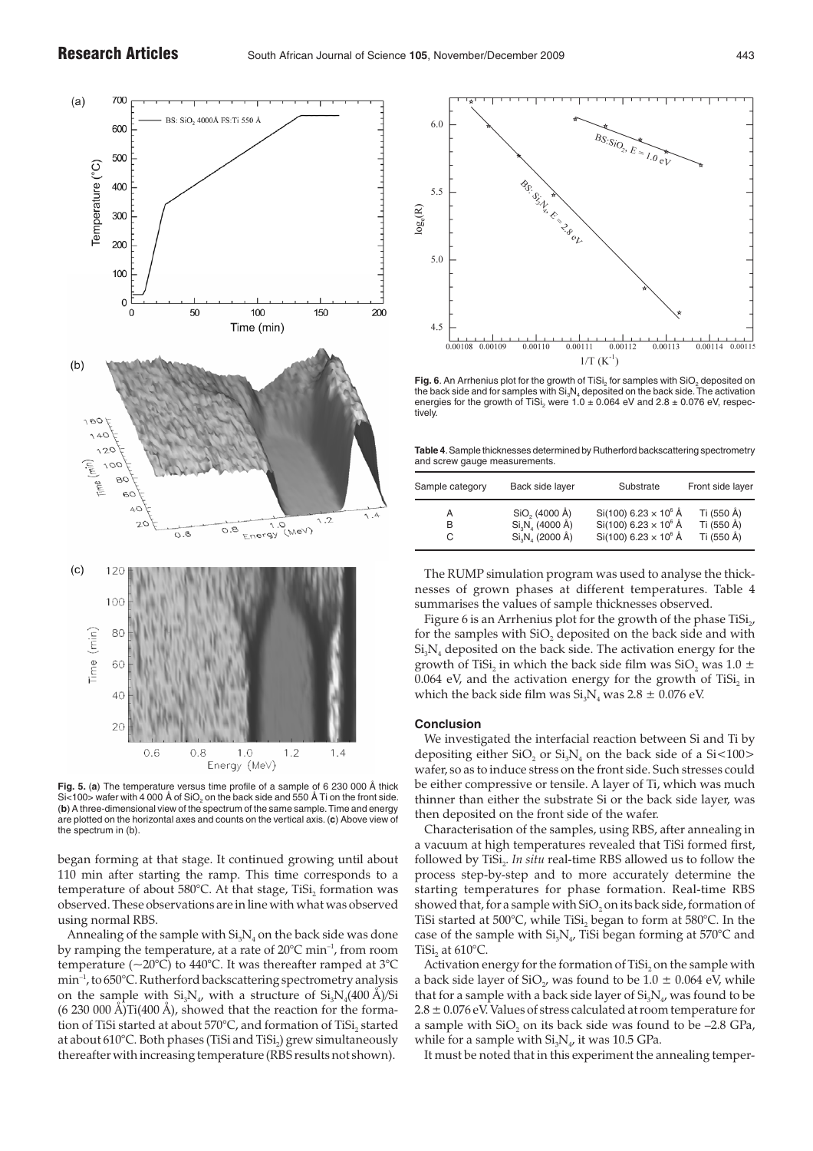

**Fig. 5.** (**a**) The temperature versus time profile of a sample of 6 230 000 Å thick  $<$ 100 $>$  wafer with 4 000 Å of SiO<sub>2</sub> on the back side and 550 Å Ti on the front side. (**b**) A three-dimensional view of the spectrum of the same sample.Time and energy are plotted on the horizontal axes and counts on the vertical axis. (**c**) Above view of the spectrum in (b).

began forming at that stage. It continued growing until about 110 min after starting the ramp. This time corresponds to a temperature of about 580°C. At that stage, TiSi, formation was observed. These observations are in line with what was observed using normal RBS.

Annealing of the sample with  $Si<sub>3</sub>N<sub>4</sub>$  on the back side was done by ramping the temperature, at a rate of  $20^{\circ}$ C min<sup>-1</sup>, from room temperature ( $\sim$ 20°C) to 440°C. It was thereafter ramped at 3°C min–1, to 650°C. Rutherford backscattering spectrometry analysis on the sample with  $Si_3N_{4}$ , with a structure of  $Si_3N_{4}(400 \text{ Å})/Si$  $(6 230 000 \text{ Å})$ Ti $(400 \text{ Å})$ , showed that the reaction for the formation of TiSi started at about 570°C, and formation of TiSi, started at about 610°C. Both phases (TiSi and TiSi,) grew simultaneously thereafter with increasing temperature (RBS results not shown).



**Fig. 6**. An Arrhenius plot for the growth of TiSi<sub>2</sub> for samples with SiO<sub>2</sub> deposited on<br>the back side and for samples with Si<sub>3</sub>N<sub>4</sub> deposited on the back side. The activation energies for the growth of TiSi<sub>2</sub> were 1.0  $\pm$  0.064 eV and 2.8  $\pm$  0.076 eV, respectively.

**Table 4**.Sample thicknesses determined by Rutherford backscattering spectrometry and screw gauge measurements.

| Sample category | Back side layer                                         | Substrate                                                                                                 | Front side layer                       |
|-----------------|---------------------------------------------------------|-----------------------------------------------------------------------------------------------------------|----------------------------------------|
| R<br>C.         | $SiO2$ (4000 Å)<br>$Si3N4$ (4000 Å)<br>$SiaNa$ (2000 Å) | $Si(100)$ 6.23 $\times$ 10 <sup>6</sup> Å<br>$Si(100) 6.23 \times 10^6$ Å<br>$Si(100) 6.23 \times 10^6$ Å | Ti (550 Å)<br>Ti (550 Å)<br>Ti (550 Å) |

The RUMP simulation program was used to analyse the thicknesses of grown phases at different temperatures. Table 4 summarises the values of sample thicknesses observed.

Figure 6 is an Arrhenius plot for the growth of the phase  $T_i$ ISi<sub>2</sub>, for the samples with  $SiO<sub>2</sub>$  deposited on the back side and with  $Si<sub>3</sub>N<sub>4</sub>$  deposited on the back side. The activation energy for the growth of TiSi<sub>2</sub> in which the back side film was SiO<sub>2</sub> was 1.0 ±  $0.064$  eV, and the activation energy for the growth of TiSi, in which the back side film was  $Si<sub>3</sub>N<sub>4</sub>$  was 2.8  $\pm$  0.076 eV.

# **Conclusion**

We investigated the interfacial reaction between Si and Ti by depositing either  $SiO<sub>2</sub>$  or  $Si<sub>3</sub>N<sub>4</sub>$  on the back side of a  $Si<100>$ wafer, so as to induce stress on the front side. Such stresses could be either compressive or tensile. A layer of Ti, which was much thinner than either the substrate Si or the back side layer, was then deposited on the front side of the wafer.

Characterisation of the samples, using RBS, after annealing in a vacuum at high temperatures revealed that TiSi formed first, followed by TiSi<sub>2</sub>. *In situ* real-time RBS allowed us to follow the process step-by-step and to more accurately determine the starting temperatures for phase formation. Real-time RBS showed that, for a sample with SiO<sub>2</sub> on its back side, formation of TiSi started at 500°C, while TiSi, began to form at 580°C. In the case of the sample with  $Si<sub>x</sub>N<sub>4</sub>$ , TiSi began forming at 570°C and TiSi, at  $610^{\circ}$ C.

Activation energy for the formation of TiSi, on the sample with a back side layer of SiO<sub>2</sub>, was found to be  $1.0 \pm 0.064$  eV, while that for a sample with a back side layer of  $Si_3N_{4}$ , was found to be  $2.8 \pm 0.076$  eV. Values of stress calculated at room temperature for a sample with  $SiO$ , on its back side was found to be  $-2.8$  GPa, while for a sample with  $Si<sub>3</sub>N<sub>4</sub>$ , it was 10.5 GPa.

It must be noted that in this experiment the annealing temper-